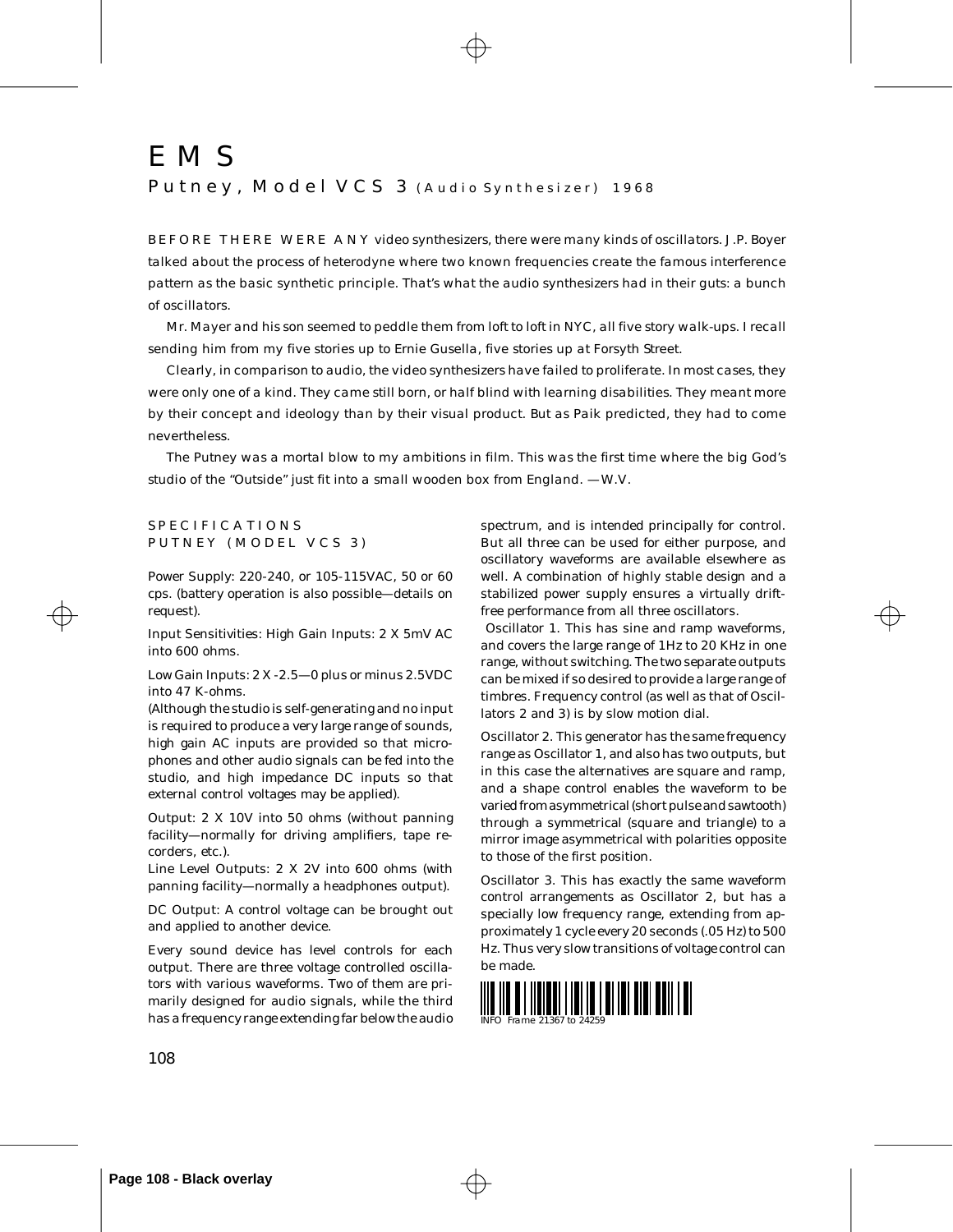# EMS

Putney, Model VCS 3 (Audio Synthesizer) 1968

BEFORE THERE WERE ANY video synthesizers, there were many kinds of oscillators. J.P. Boyer talked about the process of heterodyne where two known frequencies create the famous interference pattern as the basic synthetic principle. That's what the audio synthesizers had in their guts: a bunch of oscillators.

Mr. Mayer and his son seemed to peddle them from loft to loft in NYC, all five story walk-ups. I recall sending him from my five stories up to Ernie Gusella, five stories up at Forsyth Street.

Clearly, in comparison to audio, the video synthesizers have failed to proliferate. In most cases, they were only one of a kind. They came still born, or half blind with learning disabilities. They meant more by their concept and ideology than by their visual product. But as Paik predicted, they had to come nevertheless.

The Putney was a mortal blow to my ambitions in film. This was the first time where the big God's studio of the "Outside" just fit into a small wooden box from England. —W.V.

# SPECIFICATIONS PUTNEY (MODEL VCS 3)

Power Supply: 220-240, or 105-115VAC, 50 or 60 cps. (battery operation is also possible—details on request).

Input Sensitivities: High Gain Inputs: 2 X 5mV AC into 600 ohms.

Low Gain Inputs: 2 X -2.5—0 plus or minus 2.5VDC into 47 K-ohms.

(Although the studio is self-generating and no input is required to produce a very large range of sounds, high gain AC inputs are provided so that microphones and other audio signals can be fed into the studio, and high impedance DC inputs so that external control voltages may be applied).

Output: 2 X 10V into 50 ohms (without panning facility—normally for driving amplifiers, tape recorders, etc.).

Line Level Outputs: 2 X 2V into 600 ohms (with panning facility—normally a headphones output).

DC Output: A control voltage can be brought out and applied to another device.

Every sound device has level controls for each output. There are three voltage controlled oscillators with various waveforms. Two of them are primarily designed for audio signals, while the third has a frequency range extending far below the audio spectrum, and is intended principally for control. But all three can be used for either purpose, and oscillatory waveforms are available elsewhere as well. A combination of highly stable design and a stabilized power supply ensures a virtually driftfree performance from all three oscillators.

 Oscillator 1. This has sine and ramp waveforms, and covers the large range of 1Hz to 20 KHz in one range, without switching. The two separate outputs can be mixed if so desired to provide a large range of timbres. Frequency control (as well as that of Oscillators 2 and 3) is by slow motion dial.

Oscillator 2. This generator has the same frequency range as Oscillator 1, and also has two outputs, but in this case the alternatives are square and ramp, and a shape control enables the waveform to be varied from asymmetrical (short pulse and sawtooth) through a symmetrical (square and triangle) to a mirror image asymmetrical with polarities opposite to those of the first position.

Oscillator 3. This has exactly the same waveform control arrangements as Oscillator 2, but has a specially low frequency range, extending from approximately 1 cycle every 20 seconds (.05 Hz) to 500 Hz. Thus very slow transitions of voltage control can be made.